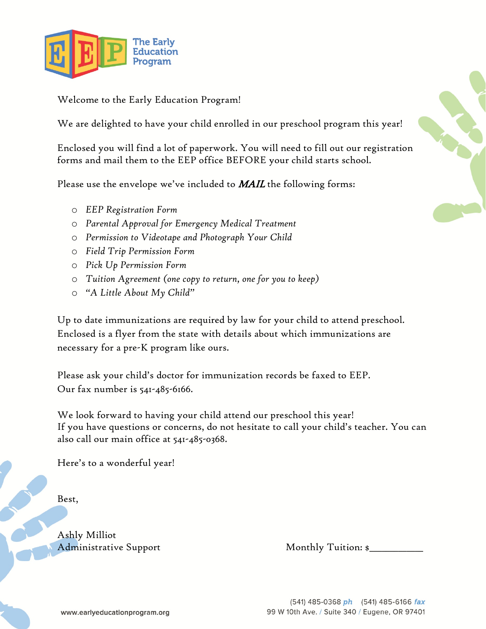

Welcome to the Early Education Program!

We are delighted to have your child enrolled in our preschool program this year!

Enclosed you will find a lot of paperwork. You will need to fill out our registration forms and mail them to the EEP office BEFORE your child starts school.

Please use the envelope we've included to  $MAIL$  the following forms:

- o *EEP Registration Form*
- o *Parental Approval for Emergency Medical Treatment*
- o *Permission to Videotape and Photograph Your Child*
- o *Field Trip Permission Form*
- o *Pick Up Permission Form*
- o *Tuition Agreement (one copy to return, one for you to keep)*
- o *"A Little About My Child"*

Up to date immunizations are required by law for your child to attend preschool. Enclosed is a flyer from the state with details about which immunizations are necessary for a pre-K program like ours.

Please ask your child's doctor for immunization records be faxed to EEP. Our fax number is 541-485-6166.

We look forward to having your child attend our preschool this year! If you have questions or concerns, do not hesitate to call your child's teacher. You can also call our main office at 541-485-0368.

Here's to a wonderful year!

Best,

Ashly Milliot Administrative Support Monthly Tuition: \$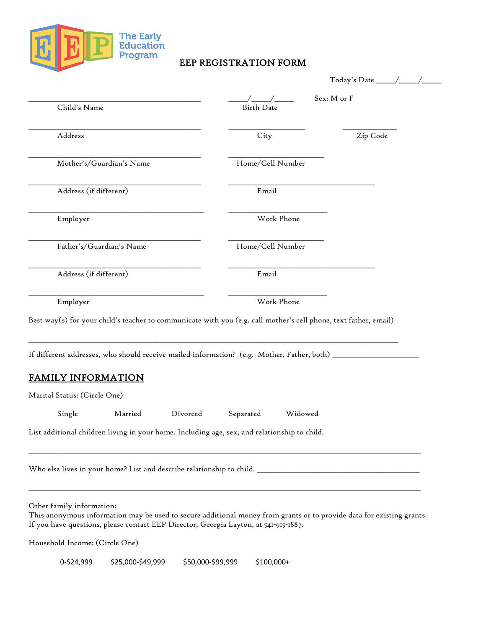

# EEP REGISTRATION FORM

| Child's Name                                                                                                                                                                                                                               | <b>Birth Date</b>    | Sex: M or F |
|--------------------------------------------------------------------------------------------------------------------------------------------------------------------------------------------------------------------------------------------|----------------------|-------------|
| Address                                                                                                                                                                                                                                    | City                 | Zip Code    |
| Mother's/Guardian's Name                                                                                                                                                                                                                   | Home/Cell Number     |             |
| Address (if different)                                                                                                                                                                                                                     | Email                |             |
| Employer                                                                                                                                                                                                                                   | Work Phone           |             |
| Father's/Guardian's Name                                                                                                                                                                                                                   | Home/Cell Number     |             |
| Address (if different)                                                                                                                                                                                                                     | Email                |             |
| Employer                                                                                                                                                                                                                                   | Work Phone           |             |
| Best way(s) for your child's teacher to communicate with you (e.g. call mother's cell phone, text father, email)<br>If different addresses, who should receive mailed information? (e.g. Mother, Father, both) ___                         |                      |             |
| <b>FAMILY INFORMATION</b>                                                                                                                                                                                                                  |                      |             |
| Marital Status: (Circle One)                                                                                                                                                                                                               |                      |             |
| Single<br>Married<br>Divorced                                                                                                                                                                                                              | Widowed<br>Separated |             |
| List additional children living in your home. Including age, sex, and relationship to child.                                                                                                                                               |                      |             |
|                                                                                                                                                                                                                                            |                      |             |
| Other family information:<br>This anonymous information may be used to secure additional money from grants or to provide data for existing grants.<br>If you have questions, please contact EEP Director, Georgia Layton, at 541-915-1887. |                      |             |

Household Income: (Circle One)

0-\$24,999 \$25,000-\$49,999 \$50,000-\$99,999 \$100,000+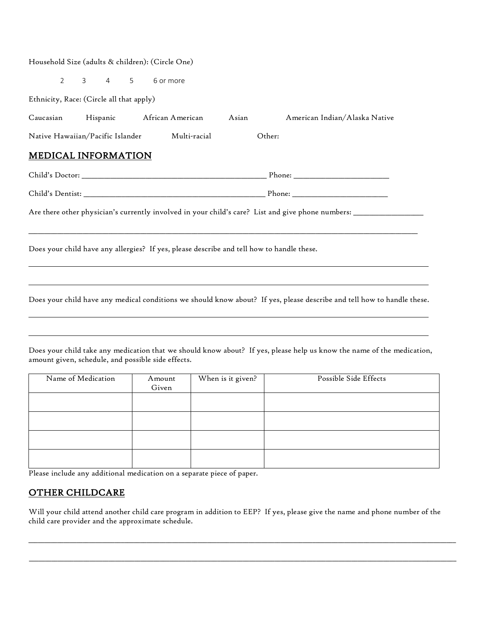#### Household Size (adults & children): (Circle One)

2 3 4 5 6 or more

Ethnicity, Race: (Circle all that apply)

| Caucasian | Hispanic                         | African American | Asian | American Indian/Alaska Native |
|-----------|----------------------------------|------------------|-------|-------------------------------|
|           | Native Hawaiian/Pacific Islander | Multi-racial     |       | Other:                        |

## MEDICAL INFORMATION

| Child's Doctor:  | Phone: |  |
|------------------|--------|--|
| Child's Dentist: | Phone: |  |

Are there other physician's currently involved in your child's care? List and give phone numbers: \_\_\_\_\_\_\_\_\_\_\_\_

Does your child have any allergies? If yes, please describe and tell how to handle these.

Does your child have any medical conditions we should know about? If yes, please describe and tell how to handle these.

 $\Box$ 

Does your child take any medication that we should know about? If yes, please help us know the name of the medication, amount given, schedule, and possible side effects.

| Name of Medication | Amount<br>Given | When is it given? | Possible Side Effects |
|--------------------|-----------------|-------------------|-----------------------|
|                    |                 |                   |                       |
|                    |                 |                   |                       |
|                    |                 |                   |                       |
|                    |                 |                   |                       |
|                    |                 |                   |                       |

Please include any additional medication on a separate piece of paper.

### OTHER CHILDCARE

Will your child attend another child care program in addition to EEP? If yes, please give the name and phone number of the child care provider and the approximate schedule.

\_\_\_\_\_\_\_\_\_\_\_\_\_\_\_\_\_\_\_\_\_\_\_\_\_\_\_\_\_\_\_\_\_\_\_\_\_\_\_\_\_\_\_\_\_\_\_\_\_\_\_\_\_\_\_\_\_\_\_\_\_\_\_\_\_\_\_\_\_\_\_\_\_\_\_\_\_\_\_\_\_\_\_\_\_\_\_\_\_\_\_\_\_\_\_\_\_\_\_\_\_\_\_\_\_\_\_\_\_\_\_\_\_\_\_\_\_\_\_\_\_\_\_\_\_\_\_\_\_\_\_\_\_\_

\_\_\_\_\_\_\_\_\_\_\_\_\_\_\_\_\_\_\_\_\_\_\_\_\_\_\_\_\_\_\_\_\_\_\_\_\_\_\_\_\_\_\_\_\_\_\_\_\_\_\_\_\_\_\_\_\_\_\_\_\_\_\_\_\_\_\_\_\_\_\_\_\_\_\_\_\_\_\_\_\_\_\_\_\_\_\_\_\_\_\_\_\_\_\_\_\_\_\_\_\_\_\_\_\_\_\_\_\_\_\_\_\_\_\_\_\_\_\_\_\_\_\_\_\_\_\_\_\_\_\_\_\_\_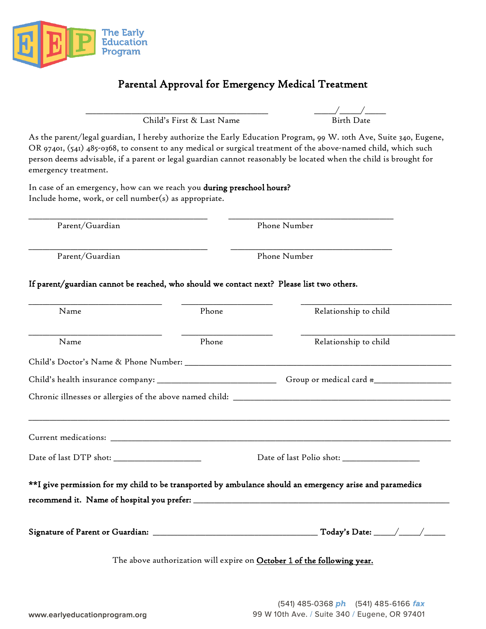

# Parental Approval for Emergency Medical Treatment

Child's First & Last Name

 $\frac{\sqrt{2}}{\text{Birth Date}}$ 

As the parent/legal guardian, I hereby authorize the Early Education Program, 99 W. 10th Ave, Suite 340, Eugene, OR 97401, (541) 485-0368, to consent to any medical or surgical treatment of the above-named child, which such person deems advisable, if a parent or legal guardian cannot reasonably be located when the child is brought for emergency treatment.

In case of an emergency, how can we reach you during preschool hours? Include home, work, or cell number(s) as appropriate.

Parent/Guardian Phone Number

Parent/Guardian Phone Number

#### If parent/guardian cannot be reached, who should we contact next? Please list two others.

\_\_\_\_\_\_\_\_\_\_\_\_\_\_\_\_\_\_\_\_\_\_\_\_\_\_\_\_\_\_\_\_\_\_\_\_\_\_\_\_\_\_\_\_\_\_\_\_\_\_\_ \_\_\_\_\_\_\_\_\_\_\_\_\_\_\_\_\_\_\_\_\_\_\_\_\_\_\_\_\_\_\_\_\_\_\_\_\_\_\_\_\_\_\_\_\_\_\_

\_\_\_\_\_\_\_\_\_\_\_\_\_\_\_\_\_\_\_\_\_\_\_\_\_\_\_\_\_\_\_\_\_\_\_\_\_\_\_\_\_\_\_\_\_\_\_\_\_\_\_ \_\_\_\_\_\_\_\_\_\_\_\_\_\_\_\_\_\_\_\_\_\_\_\_\_\_\_\_\_\_\_\_\_\_\_\_\_\_\_\_\_\_\_\_\_\_

| Name                                         | Phone | Relationship to child                                                                                    |
|----------------------------------------------|-------|----------------------------------------------------------------------------------------------------------|
| Name                                         | Phone | Relationship to child                                                                                    |
|                                              |       |                                                                                                          |
|                                              |       | Group or medical card $\ast$                                                                             |
|                                              |       |                                                                                                          |
|                                              |       |                                                                                                          |
|                                              |       |                                                                                                          |
|                                              |       |                                                                                                          |
| Date of last DTP shot: _____________________ |       | Date of last Polio shot: _________________                                                               |
|                                              |       | **I give permission for my child to be transported by ambulance should an emergency arise and paramedics |
|                                              |       |                                                                                                          |
|                                              |       |                                                                                                          |
|                                              |       |                                                                                                          |
|                                              |       |                                                                                                          |
|                                              |       | The above authorization will expire on October 1 of the following year.                                  |
|                                              |       |                                                                                                          |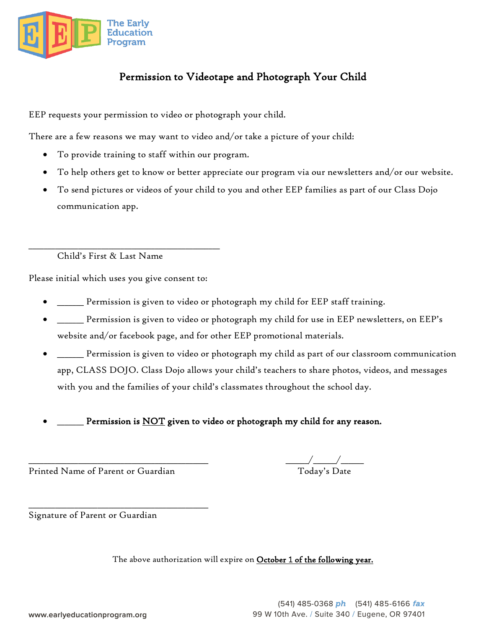

# Permission to Videotape and Photograph Your Child

EEP requests your permission to video or photograph your child.

There are a few reasons we may want to video and/or take a picture of your child:

- To provide training to staff within our program.
- To help others get to know or better appreciate our program via our newsletters and/or our website.
- To send pictures or videos of your child to you and other EEP families as part of our Class Dojo communication app.

Child's First & Last Name

Please initial which uses you give consent to:

\_\_\_\_\_\_\_\_\_\_\_\_\_\_\_\_\_\_\_\_\_\_\_\_\_\_\_\_\_\_\_\_\_\_\_\_\_\_\_\_\_\_\_\_\_\_\_\_\_\_

- \_\_\_\_\_\_\_ Permission is given to video or photograph my child for EEP staff training.
- \_\_\_\_\_\_\_ Permission is given to video or photograph my child for use in EEP newsletters, on EEP's website and/or facebook page, and for other EEP promotional materials.
- \_\_\_\_\_\_\_ Permission is given to video or photograph my child as part of our classroom communication app, CLASS DOJO. Class Dojo allows your child's teachers to share photos, videos, and messages with you and the families of your child's classmates throughout the school day.
- Permission is NOT given to video or photograph my child for any reason.

Printed Name of Parent or Guardian

\_\_\_\_\_\_\_\_\_\_\_\_\_\_\_\_\_\_\_\_\_\_\_\_\_\_\_\_\_\_\_\_\_\_\_\_\_\_\_\_\_\_\_\_\_\_\_

 $\overline{\phantom{a}}\phantom{a}^-$  Today's Date

Signature of Parent or Guardian

The above authorization will expire on October 1 of the following year.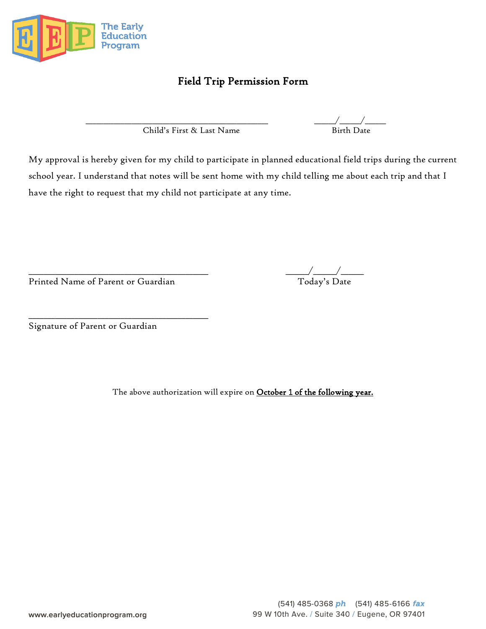

# Field Trip Permission Form

Child's First & Last Name Birth Date

\_\_\_\_\_\_\_\_\_\_\_\_\_\_\_\_\_\_\_\_\_\_\_\_\_\_\_\_\_\_\_\_\_\_\_\_\_\_\_\_\_\_\_\_\_\_\_\_\_\_\_\_ \_\_\_\_\_\_/\_\_\_\_\_\_/\_\_\_\_\_\_

My approval is hereby given for my child to participate in planned educational field trips during the current school year. I understand that notes will be sent home with my child telling me about each trip and that I have the right to request that my child not participate at any time.

Printed Name of Parent or Guardian Today's Date

\_\_\_\_\_\_\_\_\_\_\_\_\_\_\_\_\_\_\_\_\_\_\_\_\_\_\_\_\_\_\_\_\_\_\_\_\_\_\_\_\_\_\_\_\_\_\_

\_\_\_\_\_\_\_\_\_\_\_\_\_\_\_\_\_\_\_\_\_\_\_\_\_\_\_\_\_\_\_\_\_\_\_\_\_\_\_\_\_\_\_\_\_\_\_ \_\_\_\_\_\_/\_\_\_\_\_\_/\_\_\_\_\_\_

Signature of Parent or Guardian

The above authorization will expire on October 1 of the following year.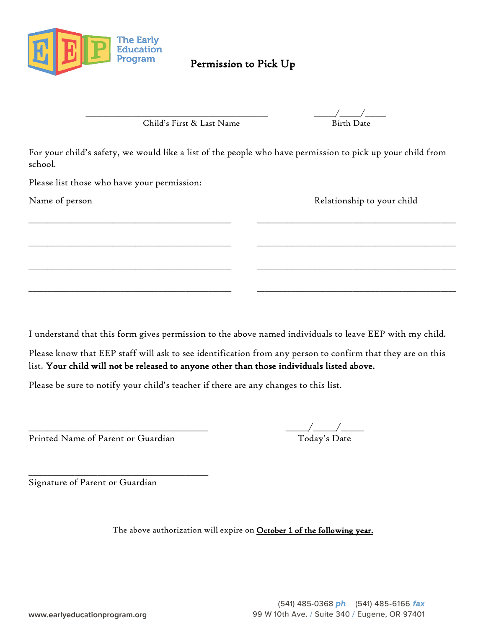

# Permission to Pick Up

Child's First & Last Name Birth Date

\_\_\_\_\_\_\_\_\_\_\_\_\_\_\_\_\_\_\_\_\_\_\_\_\_\_\_\_\_\_\_\_\_\_\_\_\_\_\_\_\_\_\_\_\_\_\_\_\_\_\_\_ \_\_\_\_\_\_/\_\_\_\_\_\_/\_\_\_\_\_\_

For your child's safety, we would like a list of the people who have permission to pick up your child from school.

\_\_\_\_\_\_\_\_\_\_\_\_\_\_\_\_\_\_\_\_\_\_\_\_\_\_\_\_\_\_\_\_\_\_\_\_\_\_\_\_\_\_\_\_\_\_\_\_\_\_\_\_\_ \_\_\_\_\_\_\_\_\_\_\_\_\_\_\_\_\_\_\_\_\_\_\_\_\_\_\_\_\_\_\_\_\_\_\_\_\_\_\_\_\_\_\_\_\_\_\_\_\_\_\_\_

\_\_\_\_\_\_\_\_\_\_\_\_\_\_\_\_\_\_\_\_\_\_\_\_\_\_\_\_\_\_\_\_\_\_\_\_\_\_\_\_\_\_\_\_\_\_\_\_\_\_\_\_\_ \_\_\_\_\_\_\_\_\_\_\_\_\_\_\_\_\_\_\_\_\_\_\_\_\_\_\_\_\_\_\_\_\_\_\_\_\_\_\_\_\_\_\_\_\_\_\_\_\_\_\_\_

\_\_\_\_\_\_\_\_\_\_\_\_\_\_\_\_\_\_\_\_\_\_\_\_\_\_\_\_\_\_\_\_\_\_\_\_\_\_\_\_\_\_\_\_\_\_\_\_\_\_\_\_\_ \_\_\_\_\_\_\_\_\_\_\_\_\_\_\_\_\_\_\_\_\_\_\_\_\_\_\_\_\_\_\_\_\_\_\_\_\_\_\_\_\_\_\_\_\_\_\_\_\_\_\_\_

\_\_\_\_\_\_\_\_\_\_\_\_\_\_\_\_\_\_\_\_\_\_\_\_\_\_\_\_\_\_\_\_\_\_\_\_\_\_\_\_\_\_\_\_\_\_\_\_\_\_\_\_\_ \_\_\_\_\_\_\_\_\_\_\_\_\_\_\_\_\_\_\_\_\_\_\_\_\_\_\_\_\_\_\_\_\_\_\_\_\_\_\_\_\_\_\_\_\_\_\_\_\_\_\_\_

Please list those who have your permission:

Name of person Relationship to your child

I understand that this form gives permission to the above named individuals to leave EEP with my child.

Please know that EEP staff will ask to see identification from any person to confirm that they are on this list. Your child will not be released to anyone other than those individuals listed above.

Please be sure to notify your child's teacher if there are any changes to this list.

Printed Name of Parent or Guardian

\_\_\_\_\_\_\_\_\_\_\_\_\_\_\_\_\_\_\_\_\_\_\_\_\_\_\_\_\_\_\_\_\_\_\_\_\_\_\_\_\_\_\_\_\_\_\_

 $\overline{\phantom{a}}_{\text{Today's Date}}$ 

Signature of Parent or Guardian

The above authorization will expire on October 1 of the following year.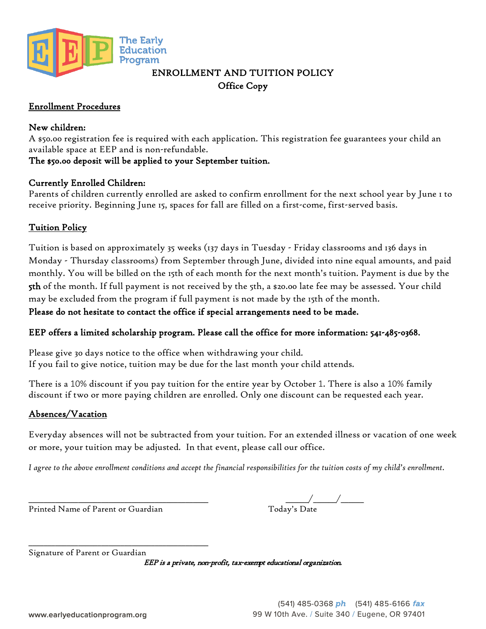

# ENROLLMENT AND TUITION POLICY Office Copy

### Enrollment Procedures

### New children:

A \$50.00 registration fee is required with each application. This registration fee guarantees your child an available space at EEP and is non-refundable.

## The \$50.00 deposit will be applied to your September tuition.

### Currently Enrolled Children:

Parents of children currently enrolled are asked to confirm enrollment for the next school year by June 1 to receive priority. Beginning June 15, spaces for fall are filled on a first-come, first-served basis.

## Tuition Policy

Tuition is based on approximately 35 weeks (137 days in Tuesday - Friday classrooms and 136 days in Monday - Thursday classrooms) from September through June, divided into nine equal amounts, and paid monthly. You will be billed on the 15th of each month for the next month's tuition. Payment is due by the 5th of the month. If full payment is not received by the 5th, a \$20.00 late fee may be assessed. Your child may be excluded from the program if full payment is not made by the 15th of the month.

Please do not hesitate to contact the office if special arrangements need to be made.

## EEP offers a limited scholarship program. Please call the office for more information: 541-485-0368.

Please give 30 days notice to the office when withdrawing your child. If you fail to give notice, tuition may be due for the last month your child attends.

There is a 10% discount if you pay tuition for the entire year by October 1. There is also a 10% family discount if two or more paying children are enrolled. Only one discount can be requested each year.

## Absences/Vacation

Everyday absences will not be subtracted from your tuition. For an extended illness or vacation of one week or more, your tuition may be adjusted. In that event, please call our office.

*I agree to the above enrollment conditions and accept the financial responsibilities for the tuition costs of my child's enrollment.*

Printed Name of Parent or Guardian

 $_{\rm Today's\:Date}$ 

\_\_\_\_\_\_\_\_\_\_\_\_\_\_\_\_\_\_\_\_\_\_\_\_\_\_\_\_\_\_\_\_\_\_\_\_\_\_\_\_\_\_\_\_\_\_\_ Signature of Parent or Guardian

EEP is a private, non-profit, tax-exempt educational organization.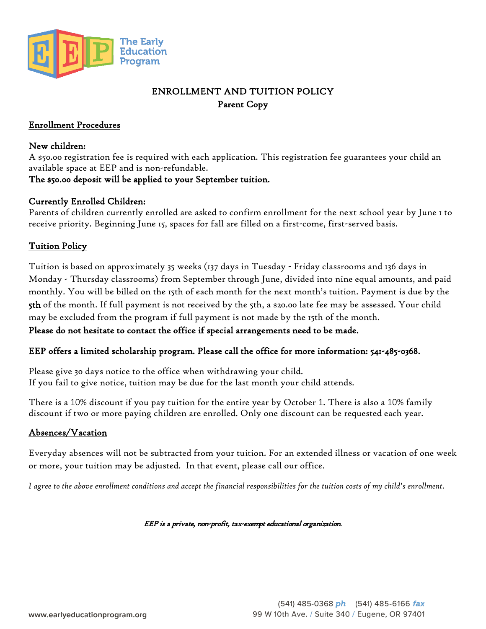

# ENROLLMENT AND TUITION POLICY Parent Copy

#### Enrollment Procedures

#### New children:

A \$50.00 registration fee is required with each application. This registration fee guarantees your child an available space at EEP and is non-refundable.

### The \$50.00 deposit will be applied to your September tuition.

#### Currently Enrolled Children:

Parents of children currently enrolled are asked to confirm enrollment for the next school year by June 1 to receive priority. Beginning June 15, spaces for fall are filled on a first-come, first-served basis.

#### Tuition Policy

Tuition is based on approximately 35 weeks (137 days in Tuesday - Friday classrooms and 136 days in Monday - Thursday classrooms) from September through June, divided into nine equal amounts, and paid monthly. You will be billed on the 15th of each month for the next month's tuition. Payment is due by the 5th of the month. If full payment is not received by the 5th, a \$20.00 late fee may be assessed. Your child may be excluded from the program if full payment is not made by the 15th of the month.

Please do not hesitate to contact the office if special arrangements need to be made.

### EEP offers a limited scholarship program. Please call the office for more information: 541-485-0368.

Please give 30 days notice to the office when withdrawing your child. If you fail to give notice, tuition may be due for the last month your child attends.

There is a 10% discount if you pay tuition for the entire year by October 1. There is also a 10% family discount if two or more paying children are enrolled. Only one discount can be requested each year.

### Absences/Vacation

Everyday absences will not be subtracted from your tuition. For an extended illness or vacation of one week or more, your tuition may be adjusted. In that event, please call our office.

*I agree to the above enrollment conditions and accept the financial responsibilities for the tuition costs of my child's enrollment.*

#### EEP is a private, non-profit, tax-exempt educational organization.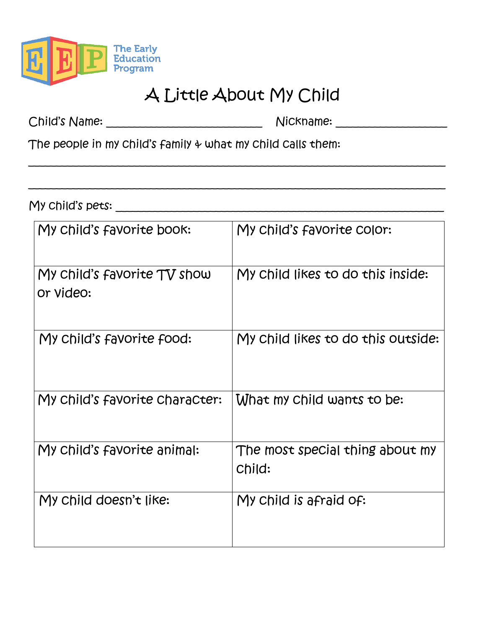

# A Little About My Child

\_\_\_\_\_\_\_\_\_\_\_\_\_\_\_\_\_\_\_\_\_\_\_\_\_\_\_\_\_\_\_\_\_\_\_\_\_\_\_\_\_\_\_\_\_\_\_\_\_\_\_\_\_\_\_\_\_\_\_\_\_\_\_\_\_\_\_\_\_\_\_\_\_\_\_

\_\_\_\_\_\_\_\_\_\_\_\_\_\_\_\_\_\_\_\_\_\_\_\_\_\_\_\_\_\_\_\_\_\_\_\_\_\_\_\_\_\_\_\_\_\_\_\_\_\_\_\_\_\_\_\_\_\_\_\_\_\_\_\_\_\_\_\_\_\_\_\_\_\_\_

Child's Name: \_\_\_\_\_\_\_\_\_\_\_\_\_\_\_\_\_\_\_\_\_\_\_\_\_\_\_\_ Nickname: \_\_\_\_\_\_\_\_\_\_\_\_\_\_\_\_\_\_\_\_

The people in my child's family  $\psi$  what my child calls them:

My child's pets:

| My child's favorite book:                | My child's favorite color:                |
|------------------------------------------|-------------------------------------------|
| My child's favorite TV show<br>or video: | My child likes to do this inside:         |
| My child's favorite food:                | My child likes to do this outside:        |
| My child's favorite character:           | What my Child wants to be:                |
| My child's favorite animal:              | The most special thing about my<br>Child: |
| My child doesn't like:                   | My child is afraid of:                    |